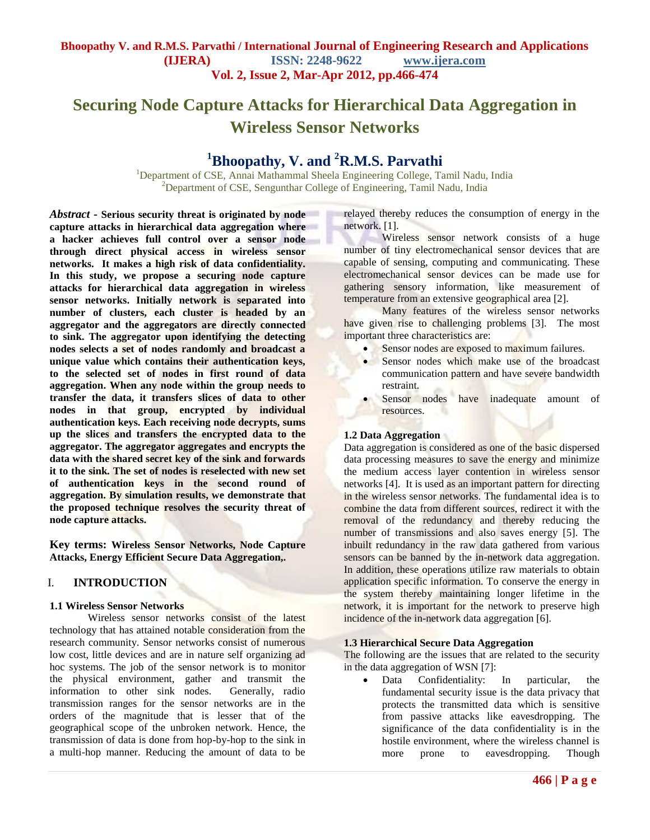# **Securing Node Capture Attacks for Hierarchical Data Aggregation in Wireless Sensor Networks**

# **<sup>1</sup>Bhoopathy, V. and <sup>2</sup>R.M.S. Parvathi**

<sup>1</sup>Department of CSE, Annai Mathammal Sheela Engineering College, Tamil Nadu, India  $2^2$ Department of CSE, Sengunthar College of Engineering, Tamil Nadu, India

*Abstract* **- Serious security threat is originated by node capture attacks in hierarchical data aggregation where a hacker achieves full control over a sensor node through direct physical access in wireless sensor networks. It makes a high risk of data confidentiality. In this study, we propose a securing node capture attacks for hierarchical data aggregation in wireless sensor networks. Initially network is separated into number of clusters, each cluster is headed by an aggregator and the aggregators are directly connected to sink. The aggregator upon identifying the detecting nodes selects a set of nodes randomly and broadcast a unique value which contains their authentication keys, to the selected set of nodes in first round of data aggregation. When any node within the group needs to transfer the data, it transfers slices of data to other nodes in that group, encrypted by individual authentication keys. Each receiving node decrypts, sums up the slices and transfers the encrypted data to the aggregator. The aggregator aggregates and encrypts the data with the shared secret key of the sink and forwards it to the sink. The set of nodes is reselected with new set of authentication keys in the second round of aggregation. By simulation results, we demonstrate that the proposed technique resolves the security threat of node capture attacks.** 

**Key terms: Wireless Sensor Networks, Node Capture Attacks, Energy Efficient Secure Data Aggregation,.**

## I. **INTRODUCTION**

#### **1.1 Wireless Sensor Networks**

Wireless sensor networks consist of the latest technology that has attained notable consideration from the research community. Sensor networks consist of numerous low cost, little devices and are in nature self organizing ad hoc systems. The job of the sensor network is to monitor the physical environment, gather and transmit the information to other sink nodes. Generally, radio transmission ranges for the sensor networks are in the orders of the magnitude that is lesser that of the geographical scope of the unbroken network. Hence, the transmission of data is done from hop-by-hop to the sink in a multi-hop manner. Reducing the amount of data to be

relayed thereby reduces the consumption of energy in the network. [1].

Wireless sensor network consists of a huge number of tiny electromechanical sensor devices that are capable of sensing, computing and communicating. These electromechanical sensor devices can be made use for gathering sensory information, like measurement of temperature from an extensive geographical area [2].

Many features of the wireless sensor networks have given rise to challenging problems [3]. The most important three characteristics are:

- Sensor nodes are exposed to maximum failures.
- Sensor nodes which make use of the broadcast communication pattern and have severe bandwidth restraint.
- Sensor nodes have inadequate amount of resources.

#### **1.2 Data Aggregation**

Data aggregation is considered as one of the basic dispersed data processing measures to save the energy and minimize the medium access layer contention in wireless sensor networks [4]. It is used as an important pattern for directing in the wireless sensor networks. The fundamental idea is to combine the data from different sources, redirect it with the removal of the redundancy and thereby reducing the number of transmissions and also saves energy [5]. The inbuilt redundancy in the raw data gathered from various sensors can be banned by the in-network data aggregation. In addition, these operations utilize raw materials to obtain application specific information. To conserve the energy in the system thereby maintaining longer lifetime in the network, it is important for the network to preserve high incidence of the in-network data aggregation [6].

## **1.3 Hierarchical Secure Data Aggregation**

The following are the issues that are related to the security in the data aggregation of WSN [7]:

 Data Confidentiality: In particular, the fundamental security issue is the data privacy that protects the transmitted data which is sensitive from passive attacks like eavesdropping. The significance of the data confidentiality is in the hostile environment, where the wireless channel is more prone to eavesdropping. Though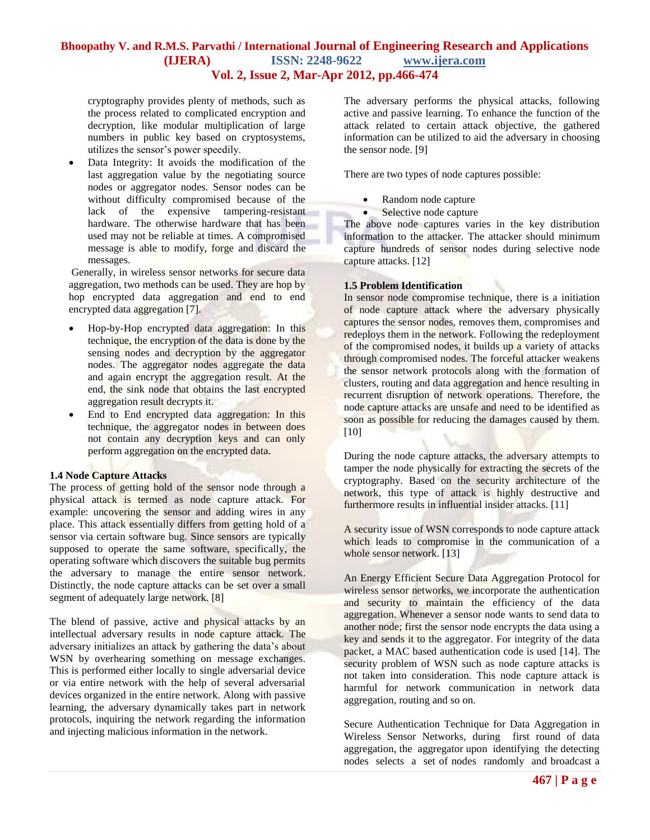cryptography provides plenty of methods, such as the process related to complicated encryption and decryption, like modular multiplication of large numbers in public key based on cryptosystems, utilizes the sensor's power speedily.

 Data Integrity: It avoids the modification of the last aggregation value by the negotiating source nodes or aggregator nodes. Sensor nodes can be without difficulty compromised because of the lack of the expensive tampering-resistant hardware. The otherwise hardware that has been used may not be reliable at times. A compromised message is able to modify, forge and discard the messages.

Generally, in wireless sensor networks for secure data aggregation, two methods can be used. They are hop by hop encrypted data aggregation and end to end encrypted data aggregation [7].

- Hop-by-Hop encrypted data aggregation: In this technique, the encryption of the data is done by the sensing nodes and decryption by the aggregator nodes. The aggregator nodes aggregate the data and again encrypt the aggregation result. At the end, the sink node that obtains the last encrypted aggregation result decrypts it.
- End to End encrypted data aggregation: In this technique, the aggregator nodes in between does not contain any decryption keys and can only perform aggregation on the encrypted data.

#### **1.4 Node Capture Attacks**

The process of getting hold of the sensor node through a physical attack is termed as node capture attack. For example: uncovering the sensor and adding wires in any place. This attack essentially differs from getting hold of a sensor via certain software bug. Since sensors are typically supposed to operate the same software, specifically, the operating software which discovers the suitable bug permits the adversary to manage the entire sensor network. Distinctly, the node capture attacks can be set over a small segment of adequately large network. [8]

The blend of passive, active and physical attacks by an intellectual adversary results in node capture attack. The adversary initializes an attack by gathering the data's about WSN by overhearing something on message exchanges. This is performed either locally to single adversarial device or via entire network with the help of several adversarial devices organized in the entire network. Along with passive learning, the adversary dynamically takes part in network protocols, inquiring the network regarding the information and injecting malicious information in the network.

The adversary performs the physical attacks, following active and passive learning. To enhance the function of the attack related to certain attack objective, the gathered information can be utilized to aid the adversary in choosing the sensor node. [9]

There are two types of node captures possible:

- Random node capture
- Selective node capture

The above node captures varies in the key distribution information to the attacker. The attacker should minimum capture hundreds of sensor nodes during selective node capture attacks. [12]

### **1.5 Problem Identification**

In sensor node compromise technique, there is a initiation of node capture attack where the adversary physically captures the sensor nodes, removes them, compromises and redeploys them in the network. Following the redeployment of the compromised nodes, it builds up a variety of attacks through compromised nodes. The forceful attacker weakens the sensor network protocols along with the formation of clusters, routing and data aggregation and hence resulting in recurrent disruption of network operations. Therefore, the node capture attacks are unsafe and need to be identified as soon as possible for reducing the damages caused by them. [10]

During the node capture attacks, the adversary attempts to tamper the node physically for extracting the secrets of the cryptography. Based on the security architecture of the network, this type of attack is highly destructive and furthermore results in influential insider attacks. [11]

A security issue of WSN corresponds to node capture attack which leads to compromise in the communication of a whole sensor network. [13]

An Energy Efficient Secure Data Aggregation Protocol for wireless sensor networks, we incorporate the authentication and security to maintain the efficiency of the data aggregation. Whenever a sensor node wants to send data to another node; first the sensor node encrypts the data using a key and sends it to the aggregator. For integrity of the data packet, a MAC based authentication code is used [14]. The security problem of WSN such as node capture attacks is not taken into consideration. This node capture attack is harmful for network communication in network data aggregation, routing and so on.

Secure Authentication Technique for Data Aggregation in Wireless Sensor Networks, during first round of data aggregation, the aggregator upon identifying the detecting nodes selects a set of nodes randomly and broadcast a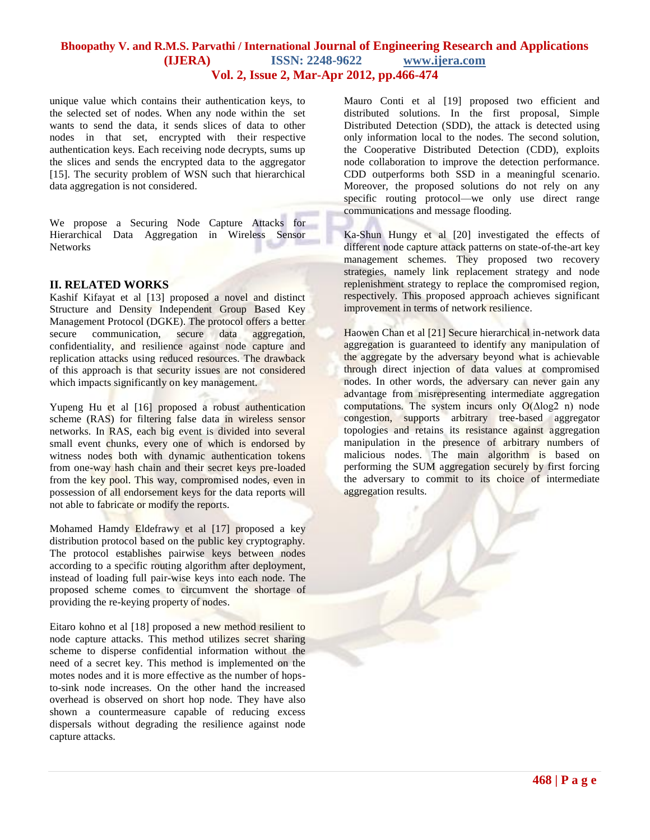unique value which contains their authentication keys, to the selected set of nodes. When any node within the set wants to send the data, it sends slices of data to other nodes in that set, encrypted with their respective authentication keys. Each receiving node decrypts, sums up the slices and sends the encrypted data to the aggregator [15]. The security problem of WSN such that hierarchical data aggregation is not considered.

We propose a Securing Node Capture Attacks for Hierarchical Data Aggregation in Wireless Sensor **Networks** 

### **II. RELATED WORKS**

Kashif Kifayat et al [13] proposed a novel and distinct Structure and Density Independent Group Based Key Management Protocol (DGKE). The protocol offers a better secure communication, secure data aggregation, confidentiality, and resilience against node capture and replication attacks using reduced resources. The drawback of this approach is that security issues are not considered which impacts significantly on key management.

Yupeng Hu et al [16] proposed a robust authentication scheme (RAS) for filtering false data in wireless sensor networks. In RAS, each big event is divided into several small event chunks, every one of which is endorsed by witness nodes both with dynamic authentication tokens from one-way hash chain and their secret keys pre-loaded from the key pool. This way, compromised nodes, even in possession of all endorsement keys for the data reports will not able to fabricate or modify the reports.

Mohamed Hamdy Eldefrawy et al [17] proposed a key distribution protocol based on the public key cryptography. The protocol establishes pairwise keys between nodes according to a specific routing algorithm after deployment, instead of loading full pair-wise keys into each node. The proposed scheme comes to circumvent the shortage of providing the re-keying property of nodes.

Eitaro kohno et al [18] proposed a new method resilient to node capture attacks. This method utilizes secret sharing scheme to disperse confidential information without the need of a secret key. This method is implemented on the motes nodes and it is more effective as the number of hopsto-sink node increases. On the other hand the increased overhead is observed on short hop node. They have also shown a countermeasure capable of reducing excess dispersals without degrading the resilience against node capture attacks.

Mauro Conti et al [19] proposed two efficient and distributed solutions. In the first proposal, Simple Distributed Detection (SDD), the attack is detected using only information local to the nodes. The second solution, the Cooperative Distributed Detection (CDD), exploits node collaboration to improve the detection performance. CDD outperforms both SSD in a meaningful scenario. Moreover, the proposed solutions do not rely on any specific routing protocol—we only use direct range communications and message flooding.

Ka-Shun Hungy et al [20] investigated the effects of different node capture attack patterns on state-of-the-art key management schemes. They proposed two recovery strategies, namely link replacement strategy and node replenishment strategy to replace the compromised region, respectively. This proposed approach achieves significant improvement in terms of network resilience.

Haowen Chan et al <a>[21]</a> Secure hierarchical in-network data aggregation is guaranteed to identify any manipulation of the aggregate by the adversary beyond what is achievable through direct injection of data values at compromised nodes. In other words, the adversary can never gain any advantage from misrepresenting intermediate aggregation computations. The system incurs only  $O(\Delta \log 2 n)$  node congestion, supports arbitrary tree-based aggregator topologies and retains its resistance against aggregation manipulation in the presence of arbitrary numbers of malicious nodes. The main algorithm is based on performing the SUM aggregation securely by first forcing the adversary to commit to its choice of intermediate aggregation results.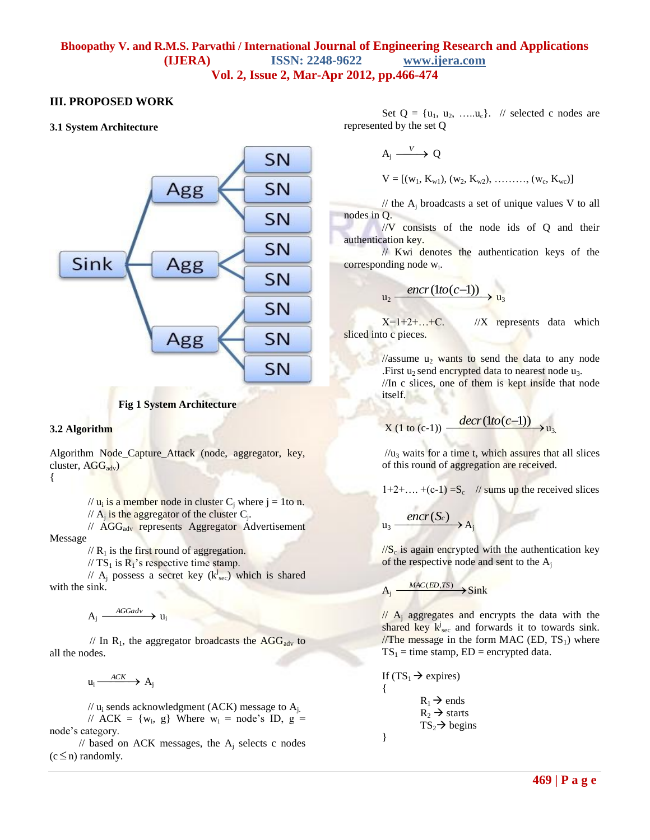## **III. PROPOSED WORK**

#### **3.1 System Architecture**



**Fig 1 System Architecture**

## **3.2 Algorithm**

Algorithm Node\_Capture\_Attack (node, aggregator, key, cluster,  $\text{AGG}_{\text{adv}}$ {

//  $u_i$  is a member node in cluster  $C_j$  where  $j = 1$  to n.

//  $A_j$  is the aggregator of the cluster  $C_j$ .

// AGG<sub>ady</sub> represents Aggregator Advertisement Message

 $// R<sub>1</sub>$  is the first round of aggregation.

//  $TS_1$  is  $R_1$ 's respective time stamp.

//  $A_j$  possess a secret key  $(k_{\text{sec}}^j)$  which is shared with the sink.

 $A_j \xrightarrow{AGGadv} u_i$ 

// In  $R_1$ , the aggregator broadcasts the AGG<sub>ady</sub> to all the nodes.

 $u_i \xrightarrow{ACK} A_j$ 

//  $u_i$  sends acknowledgment (ACK) message to  $A_i$ . // ACK =  $\{w_i, g\}$  Where  $w_i$  = node's ID,  $g$  = node's category.

// based on ACK messages, the  $A_i$  selects c nodes  $(c \leq n)$  randomly.

Set  $Q = \{u_1, u_2, \ldots, u_c\}$ . // selected c nodes are represented by the set Q

$$
A_j \xrightarrow{V} Q
$$

 $V = [(w_1, K_{w1}), (w_2, K_{w2}), \dots, (w_c, K_{wc})]$ 

// the  $A_i$  broadcasts a set of unique values V to all nodes in Q.

//V consists of the node ids of Q and their authentication key.

// Kwi denotes the authentication keys of the corresponding node w<sub>i</sub>.

$$
u_2 \xrightarrow{encr(lto(c-1))} u_3
$$

 $X=1+2+\ldots+C$ . //X represents data which sliced into c pieces.

> //assume  $u_2$  wants to send the data to any node .First  $u_2$  send encrypted data to nearest node  $u_3$ . //In c slices, one of them is kept inside that node itself.

$$
X (1 to (c-1)) \xrightarrow{decr (1 to (c-1))} u_3
$$

 $/ \nu_3$  waits for a time t, which assures that all slices of this round of aggregation are received.

 $1+2+\ldots+(c-1)=S_c$  // sums up the received slices

$$
u_3 \xrightarrow{encr(S_c)} A_j
$$

孔光

 $\frac{1}{S_c}$  is again encrypted with the authentication key of the respective node and sent to the  $A_j$ 

$$
A_j \xrightarrow{MAC(ED, TS)} \text{Sink}
$$

 $\mathcal{A}^+$ 

 $//$   $A_i$  aggregates and encrypts the data with the shared key  $k_{\text{sec}}^j$  and forwards it to towards sink. //The message in the form MAC (ED,  $TS_1$ ) where  $TS_1$  = time stamp,  $ED$  = encrypted data.

If 
$$
(TS_1 \rightarrow \text{ expires})
$$
  
\n $R_1 \rightarrow \text{ends}$   
\n $R_2 \rightarrow \text{starts}$   
\n $TS_2 \rightarrow \text{begins}$ 

$$
469 | P a g e
$$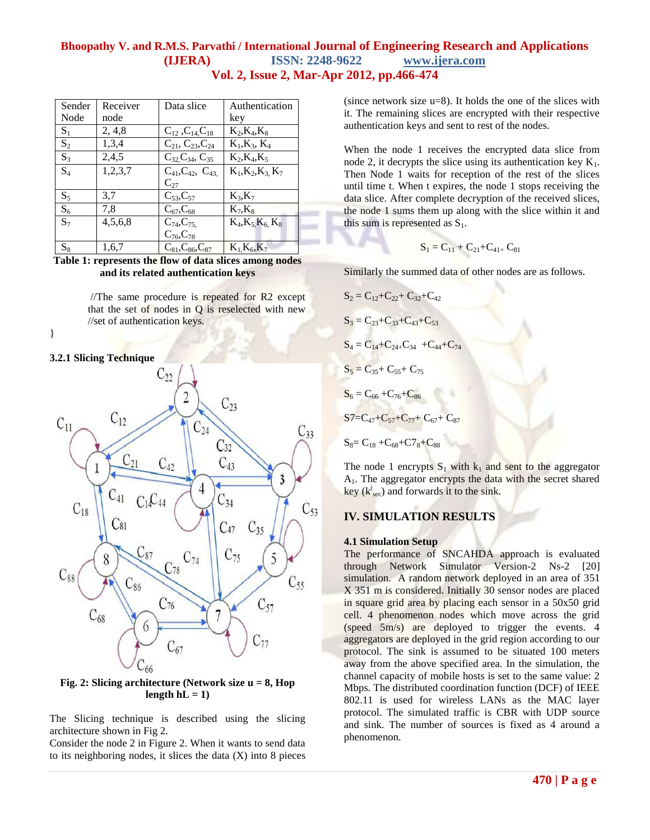| Sender | Receiver | Data slice                     | Authentication       |
|--------|----------|--------------------------------|----------------------|
| Node   | node     |                                | key                  |
| $S_1$  | 2, 4, 8  | $C_{12}$ , $C_{14}$ , $C_{18}$ | $K_2, K_4, K_8$      |
| $S_2$  | 1,3,4    | $C_{21}$ , $C_{23}$ , $C_{24}$ | $K_1, K_3, K_4$      |
| $S_3$  | 2,4,5    | $C_{32}C_{34}$ , $C_{35}$      | $K_2, K_4, K_5$      |
| $S_4$  | 1,2,3,7  | $C_{41}$ , $C_{42}$ , $C_{43}$ | $K_1, K_2, K_3, K_7$ |
|        |          | $\mathrm{C}_{27}$              |                      |
| $S_5$  | 3,7      | $C_{53}$ , $C_{57}$            | $K_3, K_7$           |
| $S_6$  | 7,8      | $C_{67}$ , $C_{68}$            | $K_7,K_8$            |
| $S_7$  | 4,5,6,8  | $C_{74}$ , $C_{75}$            | $K_4, K_5, K_6, K_8$ |
|        |          | $C_{76}$ , $C_{78}$            |                      |
| $S_8$  | 1,6,7    | $C_{81}$ , $C_{86}$ , $C_{87}$ | $K_1K_6,K_7$         |

**Table 1: represents the flow of data slices among nodes and its related authentication keys**

//The same procedure is repeated for R2 except that the set of nodes in Q is reselected with new //set of authentication keys.

## **3.2.1 Slicing Technique**

}



**Fig. 2: Slicing architecture (Network size u = 8, Hop**  length  $hL = 1$ )

The Slicing technique is described using the slicing architecture shown in Fig 2.

Consider the node 2 in Figure 2. When it wants to send data to its neighboring nodes, it slices the data  $(X)$  into 8 pieces (since network size u=8). It holds the one of the slices with it. The remaining slices are encrypted with their respective authentication keys and sent to rest of the nodes.

When the node 1 receives the encrypted data slice from node 2, it decrypts the slice using its authentication key  $K_1$ . Then Node 1 waits for reception of the rest of the slices until time t. When t expires, the node 1 stops receiving the data slice. After complete decryption of the received slices, the node 1 sums them up along with the slice within it and this sum is represented as  $S_1$ .

$$
S_1 = C_{11} + C_{21} + C_{41+} C_{81}
$$

Similarly the summed data of other nodes are as follows.

$$
S_{2} = C_{12} + C_{22} + C_{32} + C_{42}
$$
\n
$$
S_{3} = C_{23} + C_{33} + C_{43} + C_{53}
$$
\n
$$
S_{4} = C_{14} + C_{24} + C_{34} + C_{44} + C_{74}
$$
\n
$$
S_{5} = C_{35} + C_{55} + C_{75}
$$
\n
$$
S_{6} = C_{66} + C_{76} + C_{86}
$$
\n
$$
S7 = C_{47} + C_{57} + C_{77} + C_{67} + C_{87}
$$
\n
$$
S_{8} = C_{18} + C_{68} + C_{78} + C_{88}
$$

The node 1 encrypts  $S_1$  with  $k_1$  and sent to the aggregator A1. The aggregator encrypts the data with the secret shared key  $(k<sup>j</sup><sub>sec</sub>)$  and forwards it to the sink.

## **IV. SIMULATION RESULTS**

#### **4.1 Simulation Setup**

The performance of SNCAHDA approach is evaluated through Network Simulator Version-2 Ns-2 [20] simulation. A random network deployed in an area of 351 X 351 m is considered. Initially 30 sensor nodes are placed in square grid area by placing each sensor in a 50x50 grid cell. 4 phenomenon nodes which move across the grid (speed 5m/s) are deployed to trigger the events. 4 aggregators are deployed in the grid region according to our protocol. The sink is assumed to be situated 100 meters away from the above specified area. In the simulation, the channel capacity of mobile hosts is set to the same value: 2 Mbps. The distributed coordination function (DCF) of IEEE 802.11 is used for wireless LANs as the MAC layer protocol. The simulated traffic is CBR with UDP source and sink. The number of sources is fixed as 4 around a phenomenon.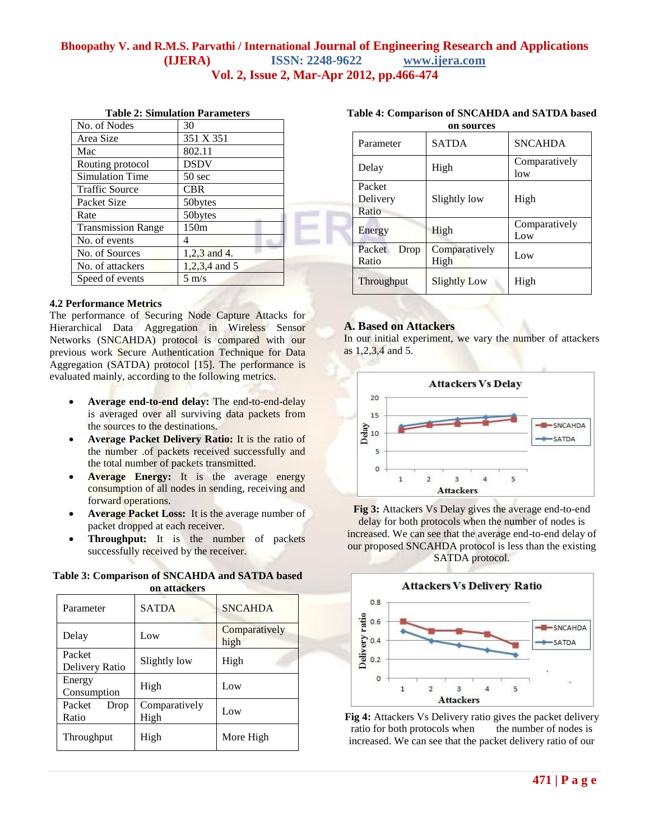|  |  | <b>Table 2: Simulation Parameters</b> |
|--|--|---------------------------------------|
|--|--|---------------------------------------|

| No. of Nodes              | 30               |
|---------------------------|------------------|
| Area Size                 | 351 X 351        |
| Mac                       | 802.11           |
| Routing protocol          | DSDV             |
| <b>Simulation Time</b>    | $50 \text{ sec}$ |
| <b>Traffic Source</b>     | <b>CBR</b>       |
| Packet Size               | 50bytes          |
| Rate                      | 50bytes          |
| <b>Transmission Range</b> | 150m             |
| No. of events             |                  |
| No. of Sources            | 1,2,3 and 4.     |
| No. of attackers          | $1,2,3,4$ and 5  |
| Speed of events           | $5 \text{ m/s}$  |

### **4.2 Performance Metrics**

The performance of Securing Node Capture Attacks for Hierarchical Data Aggregation in Wireless Sensor Networks (SNCAHDA) protocol is compared with our previous work Secure Authentication Technique for Data Aggregation (SATDA) protocol [15]. The performance is evaluated mainly, according to the following metrics.

- **Average end-to-end delay:** The end-to-end-delay is averaged over all surviving data packets from the sources to the destinations.
- **Average Packet Delivery Ratio:** It is the ratio of the number .of packets received successfully and the total number of packets transmitted.
- **Average Energy:** It is the average energy consumption of all nodes in sending, receiving and forward operations.
- **Average Packet Loss:** It is the average number of packet dropped at each receiver.
- **Throughput:** It is the number of packets successfully received by the receiver.

**Table 3: Comparison of SNCAHDA and SATDA based on attackers**

| Parameter                | <b>SATDA</b>          | <b>SNCAHDA</b>        |
|--------------------------|-----------------------|-----------------------|
| Delay                    | Low                   | Comparatively<br>high |
| Packet<br>Delivery Ratio | Slightly low          | High                  |
| Energy<br>Consumption    | High                  | Low                   |
| Packet<br>Drop<br>Ratio  | Comparatively<br>High | Low                   |
| Throughput               | High                  | More High             |

## **Table 4: Comparison of SNCAHDA and SATDA based on sources**

|  | on sources                  |                       |                      |  |  |  |
|--|-----------------------------|-----------------------|----------------------|--|--|--|
|  | Parameter                   | <b>SATDA</b>          | <b>SNCAHDA</b>       |  |  |  |
|  | Delay                       | High                  | Comparatively<br>low |  |  |  |
|  | Packet<br>Delivery<br>Ratio | Slightly low          | High                 |  |  |  |
|  | Energy                      | High                  | Comparatively<br>Low |  |  |  |
|  | Packet<br>Drop<br>Ratio     | Comparatively<br>High | Low                  |  |  |  |
|  | Throughput                  | <b>Slightly Low</b>   | High                 |  |  |  |

## **A. Based on Attackers**

In our initial experiment, we vary the number of attackers as 1,2,3,4 and 5.



**Fig 3:** Attackers Vs Delay gives the average end-to-end delay for both protocols when the number of nodes is increased. We can see that the average end-to-end delay of our proposed SNCAHDA protocol is less than the existing SATDA protocol.



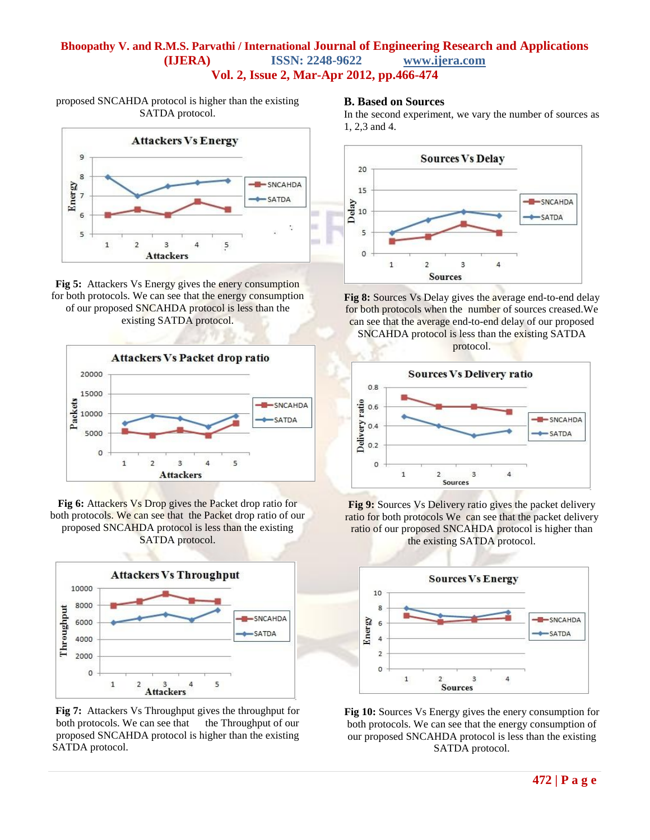proposed SNCAHDA protocol is higher than the existing SATDA protocol.



**Fig 5:** Attackers Vs Energy gives the enery consumption for both protocols. We can see that the energy consumption of our proposed SNCAHDA protocol is less than the existing SATDA protocol.







**Fig 7:** Attackers Vs Throughput gives the throughput for both protocols. We can see that the Throughput of our proposed SNCAHDA protocol is higher than the existing SATDA protocol.

## **B. Based on Sources**

In the second experiment, we vary the number of sources as 1, 2,3 and 4.



**Fig 8:** Sources Vs Delay gives the average end-to-end delay for both protocols when the number of sources creased.We can see that the average end-to-end delay of our proposed SNCAHDA protocol is less than the existing SATDA





**Fig 9:** Sources Vs Delivery ratio gives the packet delivery ratio for both protocols We can see that the packet delivery ratio of our proposed SNCAHDA protocol is higher than the existing SATDA protocol.



**Fig 10:** Sources Vs Energy gives the enery consumption for both protocols. We can see that the energy consumption of our proposed SNCAHDA protocol is less than the existing SATDA protocol.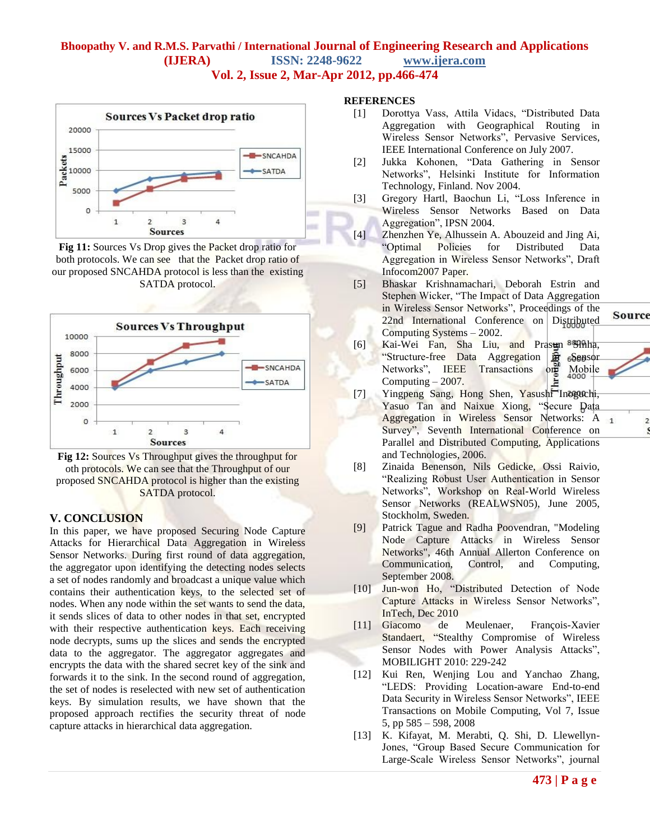

**Fig 11:** Sources Vs Drop gives the Packet drop ratio for both protocols. We can see that the Packet drop ratio of our proposed SNCAHDA protocol is less than the existing SATDA protocol.



**Fig 12:** Sources Vs Throughput gives the throughput for oth protocols. We can see that the Throughput of our proposed SNCAHDA protocol is higher than the existing SATDA protocol.

## **V. CONCLUSION**

In this paper, we have proposed Securing Node Capture Attacks for Hierarchical Data Aggregation in Wireless Sensor Networks. During first round of data aggregation, the aggregator upon identifying the detecting nodes selects a set of nodes randomly and broadcast a unique value which contains their authentication keys, to the selected set of nodes. When any node within the set wants to send the data, it sends slices of data to other nodes in that set, encrypted with their respective authentication keys. Each receiving node decrypts, sums up the slices and sends the encrypted data to the aggregator. The aggregator aggregates and encrypts the data with the shared secret key of the sink and forwards it to the sink. In the second round of aggregation, the set of nodes is reselected with new set of authentication keys. By simulation results, we have shown that the proposed approach rectifies the security threat of node capture attacks in hierarchical data aggregation.

#### **REFERENCES**

- [1] Dorottya Vass, Attila Vidacs, "Distributed Data Aggregation with Geographical Routing in Wireless Sensor Networks", Pervasive Services, IEEE International Conference on July 2007.
- [2] Jukka Kohonen, "Data Gathering in Sensor Networks‖, Helsinki Institute for Information Technology, Finland. Nov 2004.
- [3] Gregory Hartl, Baochun Li, "Loss Inference in Wireless Sensor Networks Based on Data Aggregation", IPSN 2004.
- [4] Zhenzhen Ye, Alhussein A. Abouzeid and Jing Ai, ―Optimal Policies for Distributed Data Aggregation in Wireless Sensor Networks", Draft Infocom2007 Paper.
- [5] Bhaskar Krishnamachari, Deborah Estrin and Stephen Wicker, "The Impact of Data Aggregation in Wireless Sensor Networks", Proceedings of the 22nd International Conference on Distributed Computing Systems – 2002.
- [6] Kai-Wei Fan, Sha Liu, and Prasun <sup>8</sup> Sinha, "Structure-free Data Aggregation  $\frac{1}{2}$  Sensor Networks", IEEE Transactions on Mobile Computing – 2007.
- [7] Yingpeng Sang, Hong Shen, Yasushi Inoguchi, Yasuo Tan and Naixue Xiong, "Secure Data Aggregation in Wireless Sensor Networks: A Survey", Seventh International Conference on Parallel and Distributed Computing, Applications and Technologies, 2006.
- [8] Zinaida Benenson, Nils Gedicke, Ossi Raivio, "Realizing Robust User Authentication in Sensor Networks", Workshop on Real-World Wireless Sensor Networks (REALWSN05), June 2005, Stockholm, Sweden.
- [9] Patrick Tague and Radha Poovendran, "Modeling Node Capture Attacks in Wireless Sensor Networks", 46th Annual Allerton Conference on Communication, Control, and Computing, September 2008.
- [10] Jun-won Ho, "Distributed Detection of Node Capture Attacks in Wireless Sensor Networks", InTech, Dec 2010
- [11] Giacomo de Meulenaer, François-Xavier Standaert, "Stealthy Compromise of Wireless Sensor Nodes with Power Analysis Attacks", MOBILIGHT 2010: 229-242
- [12] Kui Ren, Wenjing Lou and Yanchao Zhang, ―LEDS: Providing Location-aware End-to-end Data Security in Wireless Sensor Networks", IEEE Transactions on Mobile Computing, Vol 7, Issue 5, pp 585 – 598, 2008
- [13] K. Kifayat, M. Merabti, Q. Shi, D. Llewellyn-Jones, "Group Based Secure Communication for Large-Scale Wireless Sensor Networks", journal

# Source